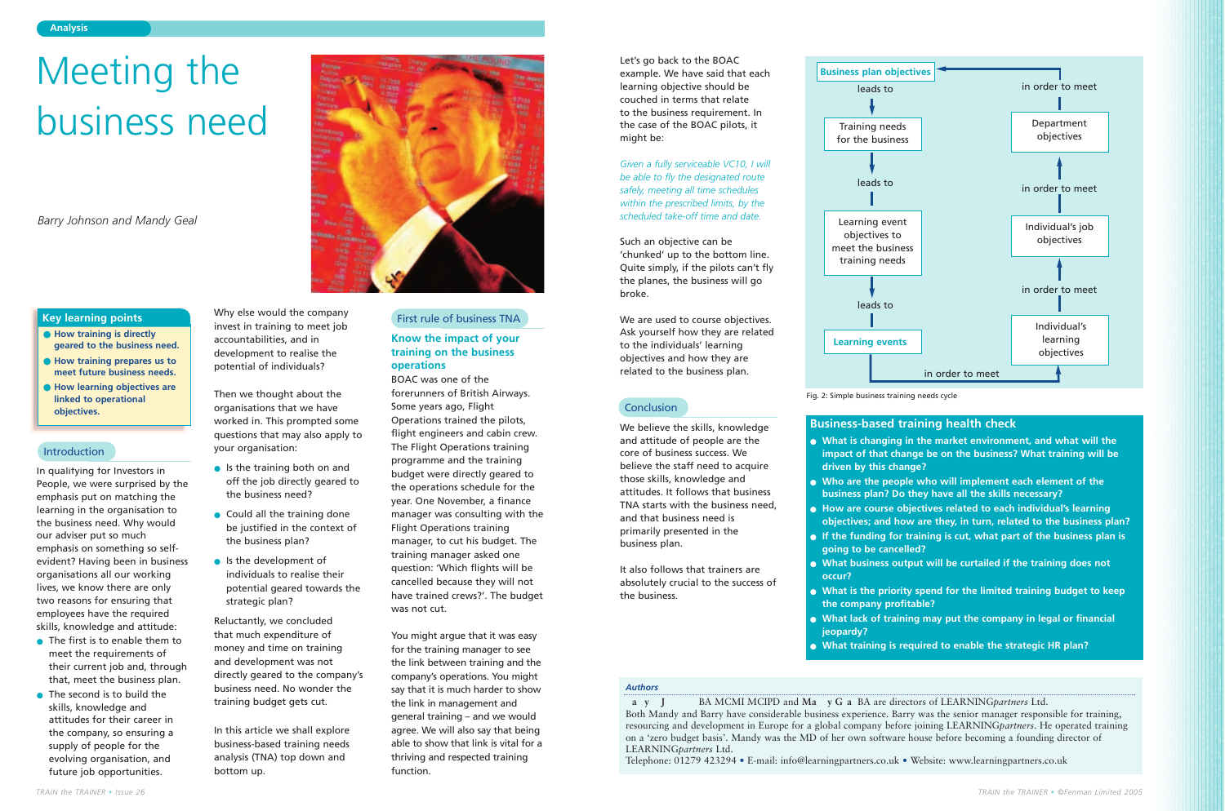In qualifying for Investors in People, we were surprised by the emphasis put on matching the learning in the organisation to the business need. Why would our adviser put so much emphasis on something so selfevident? Having been in business organisations all our working lives, we know there are only two reasons for ensuring that employees have the required skills, knowledge and attitude:

- The first is to enable them to meet the requirements of their current job and, through that, meet the business plan.
- The second is to build the skills, knowledge and attitudes for their career in the company, so ensuring a supply of people for the evolving organisation, and future job opportunities.

Why else would the company invest in training to meet job accountabilities, and in development to realise the potential of individuals?

Then we thought about the organisations that we have worked in. This prompted some questions that may also apply to your organisation:

- Is the training both on and off the job directly geared to the business need?
- Could all the training done be justified in the context of the business plan?
- Is the development of individuals to realise their potential geared towards the strategic plan?

Reluctantly, we concluded that much expenditure of money and time on training and development was not directly geared to the company's business need. No wonder the training budget gets cut.

In this article we shall explore business-based training needs analysis (TNA) top down and bottom up.



# **Know the impact of your training on the business operations**

**a y J** BA MCMI MCIPD and **Ma y** G **a** BA are directors of LEARNING*partners* Ltd. Both Mandy and Barry have considerable business experience. Barry was the senior manager responsible for training, resourcing and development in Europe for a global company before joining LEARNING*partners*. He operated training on a 'zero budget basis'. Mandy was the MD of her own software house before becoming a founding director of LEARNING*partners* Ltd.

BOAC was one of the forerunners of British Airways. Some years ago, Flight Operations trained the pilots, flight engineers and cabin crew. The Flight Operations training programme and the training budget were directly geared to the operations schedule for the year. One November, a finance manager was consulting with the Flight Operations training manager, to cut his budget. The training manager asked one question: 'Which flights will be cancelled because they will not have trained crews?'. The budget was not cut.

You might argue that it was easy for the training manager to see the link between training and the company's operations. You might say that it is much harder to show the link in management and general training – and we would agree. We will also say that being able to show that link is vital for a thriving and respected training function.

### **Analysis**

- **How training is directly geared to the business need.**
- **How training prepares us to meet future business needs.**
- **How learning objectives are linked to operational objectives.**

# **Key learning points**

### *Authors*

Telephone: 01279 423294 • E-mail: info@learningpartners.co.uk • Website: www.learningpartners.co.uk

# Meeting the business need

*Barry Johnson and Mandy Geal*

# Introduction

### First rule of business TNA

Let's go back to the BOAC example. We have said that each learning objective should be couched in terms that relate to the business requirement. In the case of the BOAC pilots, it might be:

*Given a fully serviceable VC10, I will be able to fly the designated route safely, meeting all time schedules within the prescribed limits, by the scheduled take-off time and date.*

Such an objective can be 'chunked' up to the bottom line. Quite simply, if the pilots can't fly the planes, the business will go broke.

We are used to course objectives. Ask yourself how they are related to the individuals' learning objectives and how they are related to the business plan.

# **Conclusion**

We believe the skills, knowledge and attitude of people are the core of business success. We believe the staff need to acquire those skills, knowledge and attitudes. It follows that business TNA starts with the business need, and that business need is primarily presented in the business plan.

It also follows that trainers are absolutely crucial to the success of the business.

# **Business-based training health check**

- **What is changing in the market environment, and what will the impact of that change be on the business? What training will be driven by this change?**
- **Who are the people who will implement each element of the business plan? Do they have all the skills necessary?**
- **How are course objectives related to each individual's learning objectives; and how are they, in turn, related to the business plan?** ● **If the funding for training is cut, what part of the business plan is**
- **going to be cancelled?**
- **What business output will be curtailed if the training does not occur?**
- **What is the priority spend for the limited training budget to keep the company profitable?**
- **What lack of training may put the company in legal or financial jeopardy?**
- **What training is required to enable the strategic HR plan?**

Fig. 2: Simple business training needs cycle